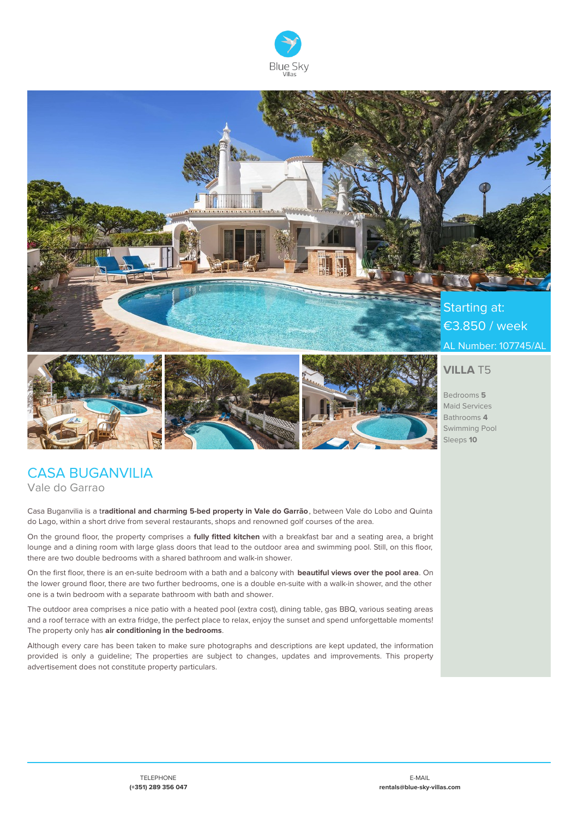



€3.850 / week AL Number: 107745/AL



### - Casa Bilbo **VILLA** T5

Bedrooms **5** Maid Services Bathrooms **4** Swimming Pool Sleeps **10**

## CASA BUGANVILIA Vale do Garrao

Casa Buganvilia is a t**raditional and charming 5-bed property in Vale do Garrão**, between Vale do Lobo and Quinta do Lago, within a short drive from several restaurants, shops and renowned golf courses of the area.

On the ground floor, the property comprises a **fully fitted kitchen** with a breakfast bar and a seating area, a bright lounge and a dining room with large glass doors that lead to the outdoor area and swimming pool. Still, on this floor, there are two double bedrooms with a shared bathroom and walk-in shower.

On the first floor, there is an en-suite bedroom with a bath and a balcony with **beautiful views over the pool area**. On the lower ground floor, there are two further bedrooms, one is a double en-suite with a walk-in shower, and the other one is a twin bedroom with a separate bathroom with bath and shower.

The outdoor area comprises a nice patio with a heated pool (extra cost), dining table, gas BBQ, various seating areas and a roof terrace with an extra fridge, the perfect place to relax, enjoy the sunset and spend unforgettable moments! The property only has **air conditioning in the bedrooms**.

Although every care has been taken to make sure photographs and descriptions are kept updated, the information provided is only a guideline; The properties are subject to changes, updates and improvements. This property advertisement does not constitute property particulars.